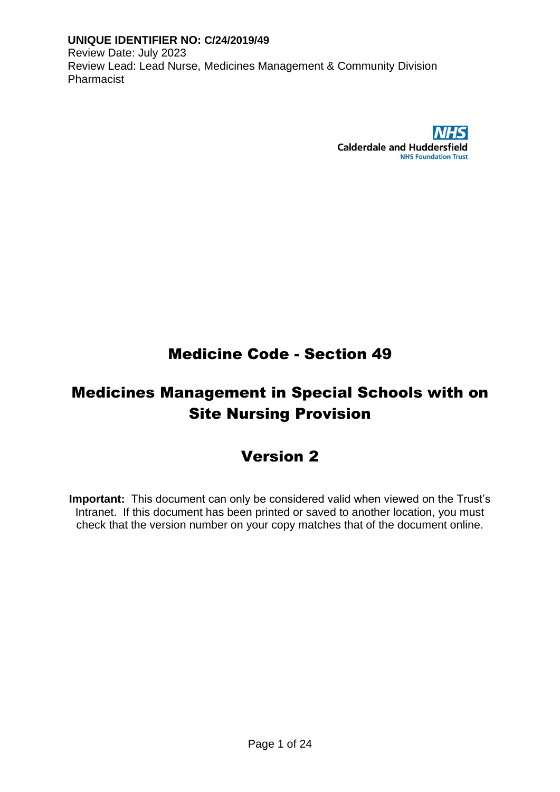Review Date: July 2023 Review Lead: Lead Nurse, Medicines Management & Community Division Pharmacist



# Medicine Code - Section 49

# Medicines Management in Special Schools with on Site Nursing Provision

# Version 2

**Important:** This document can only be considered valid when viewed on the Trust's Intranet. If this document has been printed or saved to another location, you must check that the version number on your copy matches that of the document online.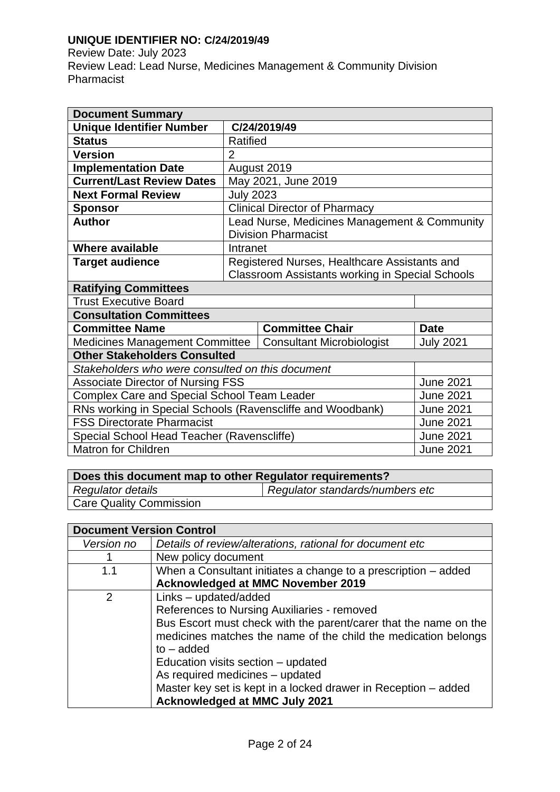Review Date: July 2023 Review Lead: Lead Nurse, Medicines Management & Community Division Pharmacist

| <b>Document Summary</b>                                                        |                                                        |                                              |                  |  |  |
|--------------------------------------------------------------------------------|--------------------------------------------------------|----------------------------------------------|------------------|--|--|
| <b>Unique Identifier Number</b>                                                |                                                        | C/24/2019/49                                 |                  |  |  |
| <b>Status</b>                                                                  |                                                        | Ratified                                     |                  |  |  |
| <b>Version</b>                                                                 | $\overline{2}$                                         |                                              |                  |  |  |
| <b>Implementation Date</b>                                                     |                                                        | August 2019                                  |                  |  |  |
| <b>Current/Last Review Dates</b>                                               |                                                        | May 2021, June 2019                          |                  |  |  |
| <b>Next Formal Review</b>                                                      | <b>July 2023</b>                                       |                                              |                  |  |  |
| Sponsor                                                                        |                                                        | <b>Clinical Director of Pharmacy</b>         |                  |  |  |
| <b>Author</b>                                                                  |                                                        | Lead Nurse, Medicines Management & Community |                  |  |  |
|                                                                                |                                                        | <b>Division Pharmacist</b>                   |                  |  |  |
| Where available                                                                | Intranet                                               |                                              |                  |  |  |
| <b>Target audience</b>                                                         | Registered Nurses, Healthcare Assistants and           |                                              |                  |  |  |
|                                                                                | <b>Classroom Assistants working in Special Schools</b> |                                              |                  |  |  |
| <b>Ratifying Committees</b>                                                    |                                                        |                                              |                  |  |  |
| <b>Trust Executive Board</b>                                                   |                                                        |                                              |                  |  |  |
| <b>Consultation Committees</b>                                                 |                                                        |                                              |                  |  |  |
| <b>Committee Chair</b><br><b>Committee Name</b><br><b>Date</b>                 |                                                        |                                              |                  |  |  |
| <b>Medicines Management Committee</b>                                          |                                                        | <b>Consultant Microbiologist</b>             | <b>July 2021</b> |  |  |
| <b>Other Stakeholders Consulted</b>                                            |                                                        |                                              |                  |  |  |
| Stakeholders who were consulted on this document                               |                                                        |                                              |                  |  |  |
| <b>June 2021</b><br><b>Associate Director of Nursing FSS</b>                   |                                                        |                                              |                  |  |  |
| <b>Complex Care and Special School Team Leader</b><br><b>June 2021</b>         |                                                        |                                              |                  |  |  |
| RNs working in Special Schools (Ravenscliffe and Woodbank)<br><b>June 2021</b> |                                                        |                                              |                  |  |  |
| <b>FSS Directorate Pharmacist</b><br><b>June 2021</b>                          |                                                        |                                              |                  |  |  |
| Special School Head Teacher (Ravenscliffe)<br><b>June 2021</b>                 |                                                        |                                              |                  |  |  |
| <b>Matron for Children</b>                                                     |                                                        |                                              | <b>June 2021</b> |  |  |

| Does this document map to other Regulator requirements? |                                 |  |  |  |
|---------------------------------------------------------|---------------------------------|--|--|--|
| <b>Regulator details</b>                                | Regulator standards/numbers etc |  |  |  |
| <b>Care Quality Commission</b>                          |                                 |  |  |  |
|                                                         |                                 |  |  |  |

|            | <b>Document Version Control</b>                                  |  |  |  |  |
|------------|------------------------------------------------------------------|--|--|--|--|
| Version no | Details of review/alterations, rational for document etc         |  |  |  |  |
|            | New policy document                                              |  |  |  |  |
| 1.1        | When a Consultant initiates a change to a prescription – added   |  |  |  |  |
|            | <b>Acknowledged at MMC November 2019</b>                         |  |  |  |  |
| 2          | Links - updated/added                                            |  |  |  |  |
|            | References to Nursing Auxiliaries - removed                      |  |  |  |  |
|            | Bus Escort must check with the parent/carer that the name on the |  |  |  |  |
|            | medicines matches the name of the child the medication belongs   |  |  |  |  |
|            | $to - added$                                                     |  |  |  |  |
|            | Education visits section - updated                               |  |  |  |  |
|            | As required medicines - updated                                  |  |  |  |  |
|            | Master key set is kept in a locked drawer in Reception – added   |  |  |  |  |
|            | <b>Acknowledged at MMC July 2021</b>                             |  |  |  |  |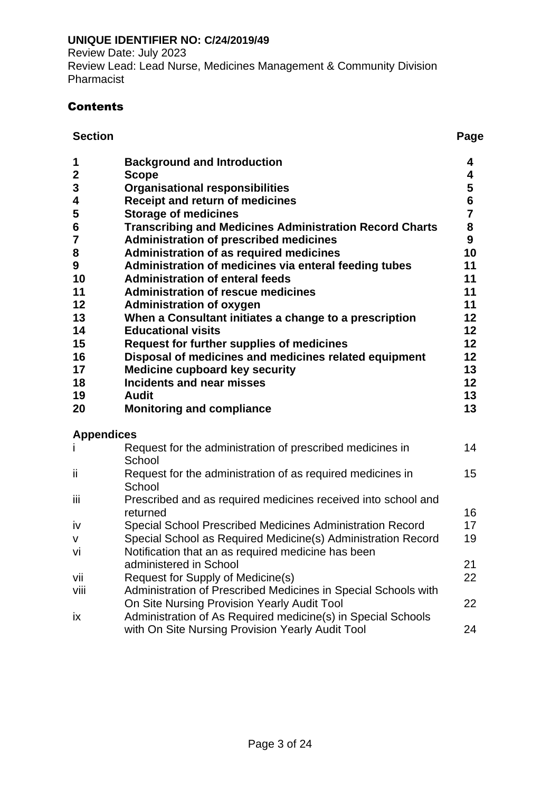# **Contents**

| <b>Section</b>    |                                                                           | Page            |
|-------------------|---------------------------------------------------------------------------|-----------------|
| 1                 | <b>Background and Introduction</b>                                        | 4               |
| $\boldsymbol{2}$  | <b>Scope</b>                                                              | 4               |
| 3                 | <b>Organisational responsibilities</b>                                    | 5               |
| 4                 | <b>Receipt and return of medicines</b>                                    | 6               |
| 5                 | <b>Storage of medicines</b>                                               | $\overline{7}$  |
| $\bf 6$           | <b>Transcribing and Medicines Administration Record Charts</b>            | 8               |
| $\overline{7}$    | <b>Administration of prescribed medicines</b>                             | 9               |
| 8                 | <b>Administration of as required medicines</b>                            | 10              |
| $\boldsymbol{9}$  | Administration of medicines via enteral feeding tubes                     | 11              |
| 10                | <b>Administration of enteral feeds</b>                                    | 11              |
| 11                | <b>Administration of rescue medicines</b>                                 | 11              |
| 12                | <b>Administration of oxygen</b>                                           | 11              |
| 13                | When a Consultant initiates a change to a prescription                    | 12 <sub>2</sub> |
| 14                | <b>Educational visits</b>                                                 | 12 <sub>2</sub> |
| 15                | Request for further supplies of medicines                                 | 12 <sup>2</sup> |
| 16                | Disposal of medicines and medicines related equipment                     | 12              |
| 17                | <b>Medicine cupboard key security</b>                                     | 13              |
| 18                | <b>Incidents and near misses</b>                                          | 12 <sub>2</sub> |
| 19                | <b>Audit</b>                                                              | 13              |
| 20                | <b>Monitoring and compliance</b>                                          | 13              |
| <b>Appendices</b> |                                                                           |                 |
| Ĺ                 | Request for the administration of prescribed medicines in<br>School       | 14              |
| ii                | Request for the administration of as required medicines in<br>School      | 15              |
| iij               | Prescribed and as required medicines received into school and<br>returned | 16              |
| iv                | Special School Prescribed Medicines Administration Record                 | 17              |
| V                 | Special School as Required Medicine(s) Administration Record              | 19              |
| Vİ                | Notification that an as required medicine has been                        |                 |
|                   | administered in School                                                    | 21              |
| vii               | Request for Supply of Medicine(s)                                         | 22              |
| viii              | Administration of Prescribed Medicines in Special Schools with            |                 |
|                   | On Site Nursing Provision Yearly Audit Tool                               | 22              |
| ix                | Administration of As Required medicine(s) in Special Schools              |                 |
|                   | with On Site Nursing Provision Yearly Audit Tool                          | 24              |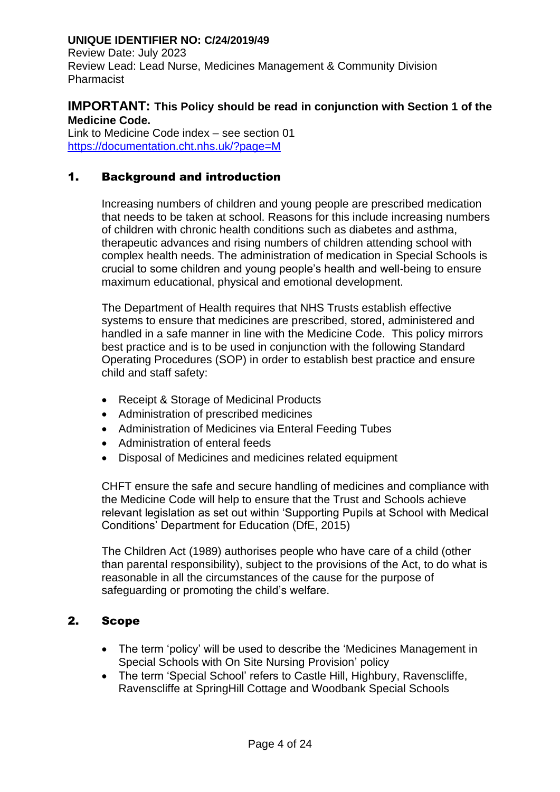Review Date: July 2023 Review Lead: Lead Nurse, Medicines Management & Community Division Pharmacist

#### **IMPORTANT: This Policy should be read in conjunction with Section 1 of the Medicine Code.**

Link to Medicine Code index – see section 01 <https://documentation.cht.nhs.uk/?page=M>

#### 1. Background and introduction

Increasing numbers of children and young people are prescribed medication that needs to be taken at school. Reasons for this include increasing numbers of children with chronic health conditions such as diabetes and asthma, therapeutic advances and rising numbers of children attending school with complex health needs. The administration of medication in Special Schools is crucial to some children and young people's health and well-being to ensure maximum educational, physical and emotional development.

The Department of Health requires that NHS Trusts establish effective systems to ensure that medicines are prescribed, stored, administered and handled in a safe manner in line with the Medicine Code. This policy mirrors best practice and is to be used in conjunction with the following Standard Operating Procedures (SOP) in order to establish best practice and ensure child and staff safety:

- Receipt & Storage of Medicinal Products
- Administration of prescribed medicines
- Administration of Medicines via Enteral Feeding Tubes
- Administration of enteral feeds
- Disposal of Medicines and medicines related equipment

CHFT ensure the safe and secure handling of medicines and compliance with the Medicine Code will help to ensure that the Trust and Schools achieve relevant legislation as set out within 'Supporting Pupils at School with Medical Conditions' Department for Education (DfE, 2015)

The Children Act (1989) authorises people who have care of a child (other than parental responsibility), subject to the provisions of the Act, to do what is reasonable in all the circumstances of the cause for the purpose of safeguarding or promoting the child's welfare.

#### 2. Scope

- The term 'policy' will be used to describe the 'Medicines Management in Special Schools with On Site Nursing Provision' policy
- The term 'Special School' refers to Castle Hill, Highbury, Ravenscliffe, Ravenscliffe at SpringHill Cottage and Woodbank Special Schools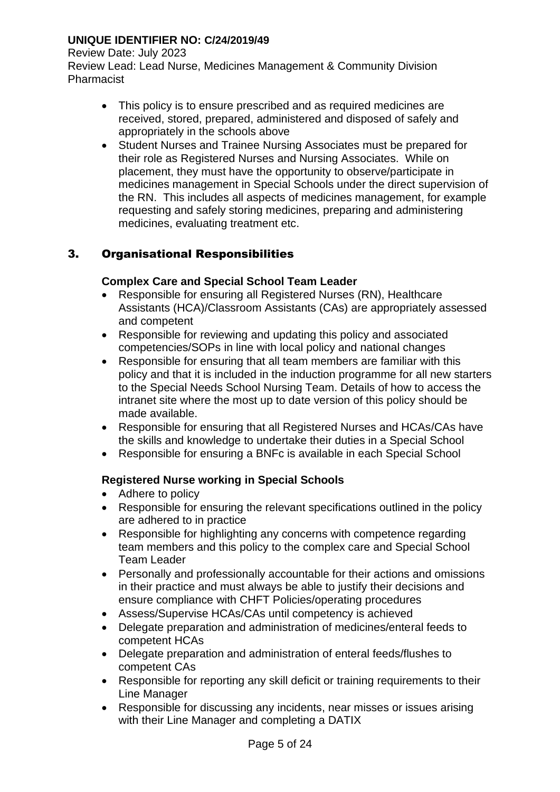#### Review Date: July 2023

Review Lead: Lead Nurse, Medicines Management & Community Division Pharmacist

- This policy is to ensure prescribed and as required medicines are received, stored, prepared, administered and disposed of safely and appropriately in the schools above
- Student Nurses and Trainee Nursing Associates must be prepared for their role as Registered Nurses and Nursing Associates. While on placement, they must have the opportunity to observe/participate in medicines management in Special Schools under the direct supervision of the RN. This includes all aspects of medicines management, for example requesting and safely storing medicines, preparing and administering medicines, evaluating treatment etc.

## 3. Organisational Responsibilities

#### **Complex Care and Special School Team Leader**

- Responsible for ensuring all Registered Nurses (RN), Healthcare Assistants (HCA)/Classroom Assistants (CAs) are appropriately assessed and competent
- Responsible for reviewing and updating this policy and associated competencies/SOPs in line with local policy and national changes
- Responsible for ensuring that all team members are familiar with this policy and that it is included in the induction programme for all new starters to the Special Needs School Nursing Team. Details of how to access the intranet site where the most up to date version of this policy should be made available.
- Responsible for ensuring that all Registered Nurses and HCAs/CAs have the skills and knowledge to undertake their duties in a Special School
- Responsible for ensuring a BNFc is available in each Special School

#### **Registered Nurse working in Special Schools**

- Adhere to policy
- Responsible for ensuring the relevant specifications outlined in the policy are adhered to in practice
- Responsible for highlighting any concerns with competence regarding team members and this policy to the complex care and Special School Team Leader
- Personally and professionally accountable for their actions and omissions in their practice and must always be able to justify their decisions and ensure compliance with CHFT Policies/operating procedures
- Assess/Supervise HCAs/CAs until competency is achieved
- Delegate preparation and administration of medicines/enteral feeds to competent HCAs
- Delegate preparation and administration of enteral feeds/flushes to competent CAs
- Responsible for reporting any skill deficit or training requirements to their Line Manager
- Responsible for discussing any incidents, near misses or issues arising with their Line Manager and completing a DATIX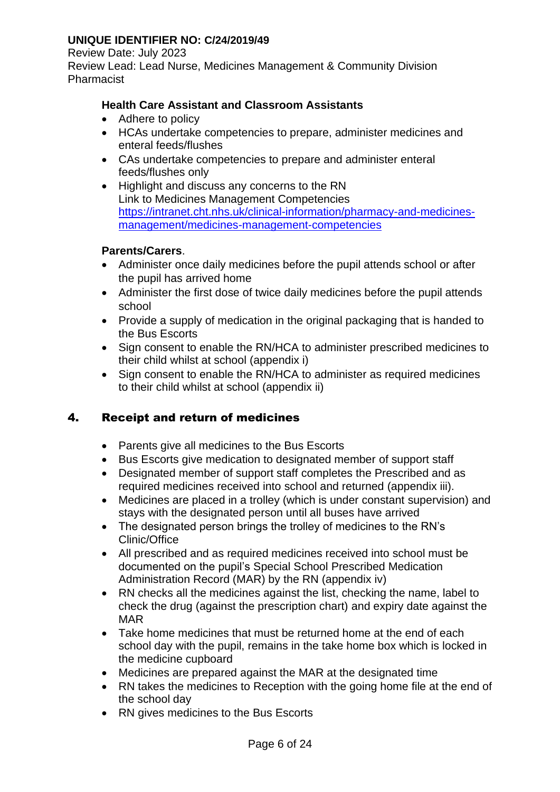Review Date: July 2023 Review Lead: Lead Nurse, Medicines Management & Community Division Pharmacist

## **Health Care Assistant and Classroom Assistants**

- Adhere to policy
- HCAs undertake competencies to prepare, administer medicines and enteral feeds/flushes
- CAs undertake competencies to prepare and administer enteral feeds/flushes only
- Highlight and discuss any concerns to the RN Link to Medicines Management Competencies [https://intranet.cht.nhs.uk/clinical-information/pharmacy-and-medicines](https://intranet.cht.nhs.uk/clinical-information/pharmacy-and-medicines-management/medicines-management-competencies)[management/medicines-management-competencies](https://intranet.cht.nhs.uk/clinical-information/pharmacy-and-medicines-management/medicines-management-competencies)

## **Parents/Carers**.

- Administer once daily medicines before the pupil attends school or after the pupil has arrived home
- Administer the first dose of twice daily medicines before the pupil attends school
- Provide a supply of medication in the original packaging that is handed to the Bus Escorts
- Sign consent to enable the RN/HCA to administer prescribed medicines to their child whilst at school (appendix i)
- Sign consent to enable the RN/HCA to administer as required medicines to their child whilst at school (appendix ii)

## 4. Receipt and return of medicines

- Parents give all medicines to the Bus Escorts
- Bus Escorts give medication to designated member of support staff
- Designated member of support staff completes the Prescribed and as required medicines received into school and returned (appendix iii).
- Medicines are placed in a trolley (which is under constant supervision) and stays with the designated person until all buses have arrived
- The designated person brings the trolley of medicines to the RN's Clinic/Office
- All prescribed and as required medicines received into school must be documented on the pupil's Special School Prescribed Medication Administration Record (MAR) by the RN (appendix iv)
- RN checks all the medicines against the list, checking the name, label to check the drug (against the prescription chart) and expiry date against the MAR
- Take home medicines that must be returned home at the end of each school day with the pupil, remains in the take home box which is locked in the medicine cupboard
- Medicines are prepared against the MAR at the designated time
- RN takes the medicines to Reception with the going home file at the end of the school day
- RN gives medicines to the Bus Escorts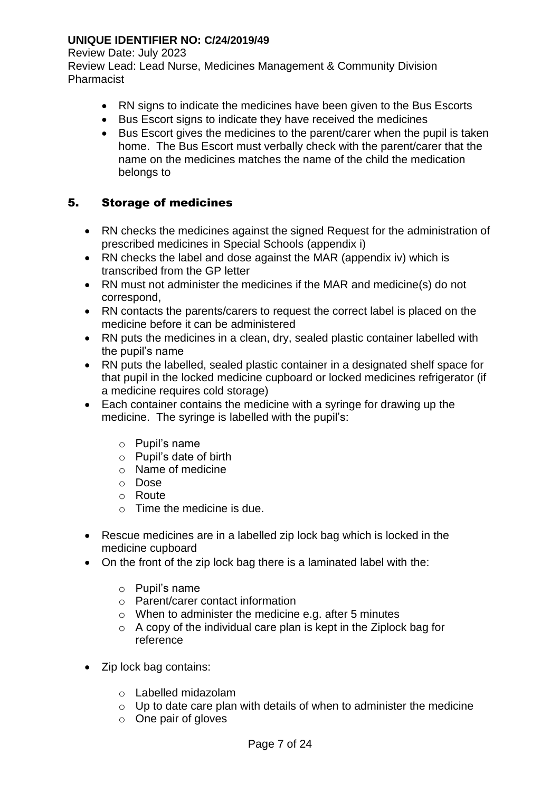Review Date: July 2023

Review Lead: Lead Nurse, Medicines Management & Community Division Pharmacist

- RN signs to indicate the medicines have been given to the Bus Escorts
- Bus Escort signs to indicate they have received the medicines
- Bus Escort gives the medicines to the parent/carer when the pupil is taken home. The Bus Escort must verbally check with the parent/carer that the name on the medicines matches the name of the child the medication belongs to

## 5. Storage of medicines

- RN checks the medicines against the signed Request for the administration of prescribed medicines in Special Schools (appendix i)
- RN checks the label and dose against the MAR (appendix iv) which is transcribed from the GP letter
- RN must not administer the medicines if the MAR and medicine(s) do not correspond,
- RN contacts the parents/carers to request the correct label is placed on the medicine before it can be administered
- RN puts the medicines in a clean, dry, sealed plastic container labelled with the pupil's name
- RN puts the labelled, sealed plastic container in a designated shelf space for that pupil in the locked medicine cupboard or locked medicines refrigerator (if a medicine requires cold storage)
- Each container contains the medicine with a syringe for drawing up the medicine. The syringe is labelled with the pupil's:
	- o Pupil's name
	- o Pupil's date of birth
	- o Name of medicine
	- o Dose
	- o Route
	- $\circ$  Time the medicine is due.
- Rescue medicines are in a labelled zip lock bag which is locked in the medicine cupboard
- On the front of the zip lock bag there is a laminated label with the:
	- o Pupil's name
	- o Parent/carer contact information
	- o When to administer the medicine e.g. after 5 minutes
	- $\circ$  A copy of the individual care plan is kept in the Ziplock bag for reference
- Zip lock bag contains:
	- o Labelled midazolam
	- $\circ$  Up to date care plan with details of when to administer the medicine
	- o One pair of gloves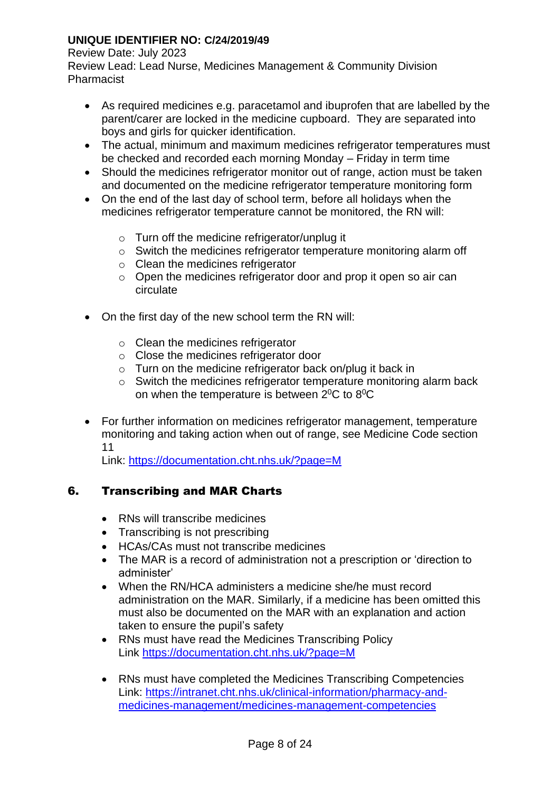#### Review Date: July 2023

Review Lead: Lead Nurse, Medicines Management & Community Division Pharmacist

- As required medicines e.g. paracetamol and ibuprofen that are labelled by the parent/carer are locked in the medicine cupboard. They are separated into boys and girls for quicker identification.
- The actual, minimum and maximum medicines refrigerator temperatures must be checked and recorded each morning Monday – Friday in term time
- Should the medicines refrigerator monitor out of range, action must be taken and documented on the medicine refrigerator temperature monitoring form
- On the end of the last day of school term, before all holidays when the medicines refrigerator temperature cannot be monitored, the RN will:
	- o Turn off the medicine refrigerator/unplug it
	- o Switch the medicines refrigerator temperature monitoring alarm off
	- $\circ$  Clean the medicines refrigerator
	- o Open the medicines refrigerator door and prop it open so air can circulate
- On the first day of the new school term the RN will:
	- o Clean the medicines refrigerator
	- o Close the medicines refrigerator door
	- o Turn on the medicine refrigerator back on/plug it back in
	- o Switch the medicines refrigerator temperature monitoring alarm back on when the temperature is between  $2^0C$  to  $8^0C$
- For further information on medicines refrigerator management, temperature monitoring and taking action when out of range, see Medicine Code section 11

Link: <https://documentation.cht.nhs.uk/?page=M>

## 6. Transcribing and MAR Charts

- RNs will transcribe medicines
- Transcribing is not prescribing
- HCAs/CAs must not transcribe medicines
- The MAR is a record of administration not a prescription or 'direction to administer'
- When the RN/HCA administers a medicine she/he must record administration on the MAR. Similarly, if a medicine has been omitted this must also be documented on the MAR with an explanation and action taken to ensure the pupil's safety
- RNs must have read the Medicines Transcribing Policy Link<https://documentation.cht.nhs.uk/?page=M>
- RNs must have completed the Medicines Transcribing Competencies Link: [https://intranet.cht.nhs.uk/clinical-information/pharmacy-and](https://intranet.cht.nhs.uk/clinical-information/pharmacy-and-medicines-management/medicines-management-competencies)[medicines-management/medicines-management-competencies](https://intranet.cht.nhs.uk/clinical-information/pharmacy-and-medicines-management/medicines-management-competencies)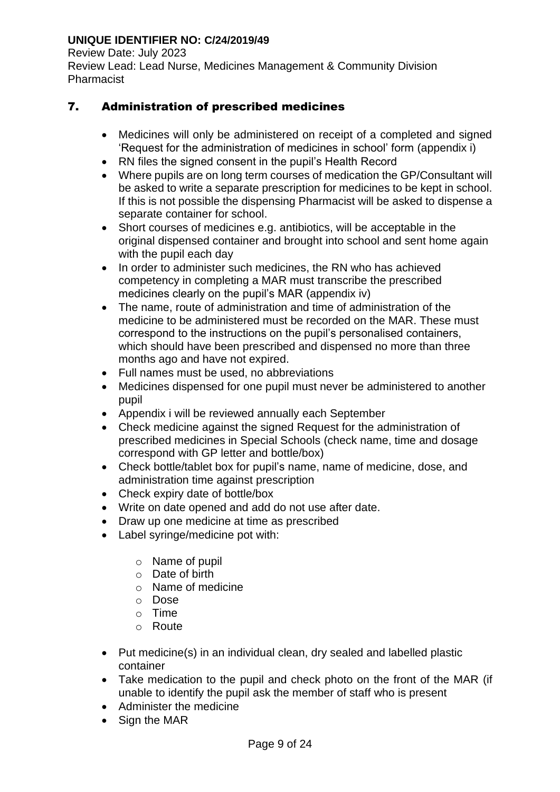Review Date: July 2023 Review Lead: Lead Nurse, Medicines Management & Community Division Pharmacist

## 7. Administration of prescribed medicines

- Medicines will only be administered on receipt of a completed and signed 'Request for the administration of medicines in school' form (appendix i)
- RN files the signed consent in the pupil's Health Record
- Where pupils are on long term courses of medication the GP/Consultant will be asked to write a separate prescription for medicines to be kept in school. If this is not possible the dispensing Pharmacist will be asked to dispense a separate container for school.
- Short courses of medicines e.g. antibiotics, will be acceptable in the original dispensed container and brought into school and sent home again with the pupil each day
- In order to administer such medicines, the RN who has achieved competency in completing a MAR must transcribe the prescribed medicines clearly on the pupil's MAR (appendix iv)
- The name, route of administration and time of administration of the medicine to be administered must be recorded on the MAR. These must correspond to the instructions on the pupil's personalised containers, which should have been prescribed and dispensed no more than three months ago and have not expired.
- Full names must be used, no abbreviations
- Medicines dispensed for one pupil must never be administered to another pupil
- Appendix i will be reviewed annually each September
- Check medicine against the signed Request for the administration of prescribed medicines in Special Schools (check name, time and dosage correspond with GP letter and bottle/box)
- Check bottle/tablet box for pupil's name, name of medicine, dose, and administration time against prescription
- Check expiry date of bottle/box
- Write on date opened and add do not use after date.
- Draw up one medicine at time as prescribed
- Label syringe/medicine pot with:
	- o Name of pupil
	- o Date of birth
	- o Name of medicine
	- o Dose
	- o Time
	- o Route
- Put medicine(s) in an individual clean, dry sealed and labelled plastic container
- Take medication to the pupil and check photo on the front of the MAR (if unable to identify the pupil ask the member of staff who is present
- Administer the medicine
- Sign the MAR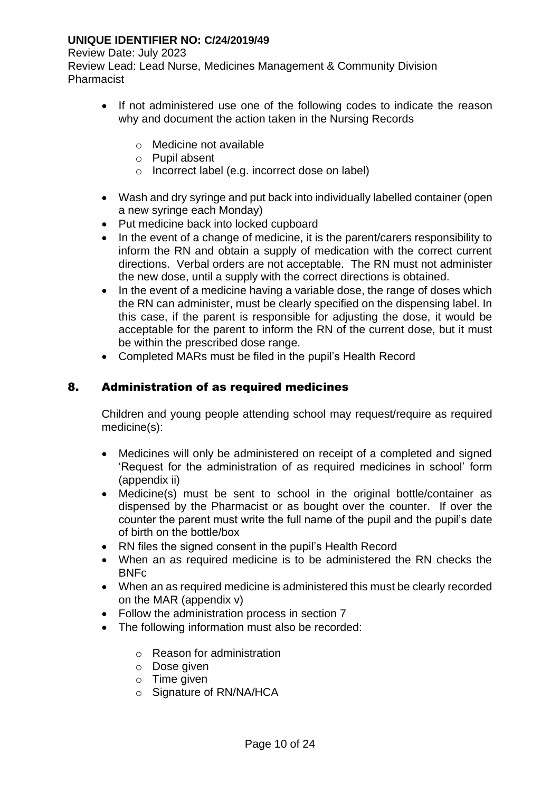Review Date: July 2023

Review Lead: Lead Nurse, Medicines Management & Community Division Pharmacist

- If not administered use one of the following codes to indicate the reason why and document the action taken in the Nursing Records
	- o Medicine not available
	- o Pupil absent
	- o Incorrect label (e.g. incorrect dose on label)
- Wash and dry syringe and put back into individually labelled container (open a new syringe each Monday)
- Put medicine back into locked cupboard
- In the event of a change of medicine, it is the parent/carers responsibility to inform the RN and obtain a supply of medication with the correct current directions. Verbal orders are not acceptable. The RN must not administer the new dose, until a supply with the correct directions is obtained.
- In the event of a medicine having a variable dose, the range of doses which the RN can administer, must be clearly specified on the dispensing label. In this case, if the parent is responsible for adjusting the dose, it would be acceptable for the parent to inform the RN of the current dose, but it must be within the prescribed dose range.
- Completed MARs must be filed in the pupil's Health Record

## 8. Administration of as required medicines

Children and young people attending school may request/require as required medicine(s):

- Medicines will only be administered on receipt of a completed and signed 'Request for the administration of as required medicines in school' form (appendix ii)
- Medicine(s) must be sent to school in the original bottle/container as dispensed by the Pharmacist or as bought over the counter. If over the counter the parent must write the full name of the pupil and the pupil's date of birth on the bottle/box
- RN files the signed consent in the pupil's Health Record
- When an as required medicine is to be administered the RN checks the BNFc
- When an as required medicine is administered this must be clearly recorded on the MAR (appendix v)
- Follow the administration process in section 7
- The following information must also be recorded:
	- o Reason for administration
	- o Dose given
	- $\circ$  Time given
	- o Signature of RN/NA/HCA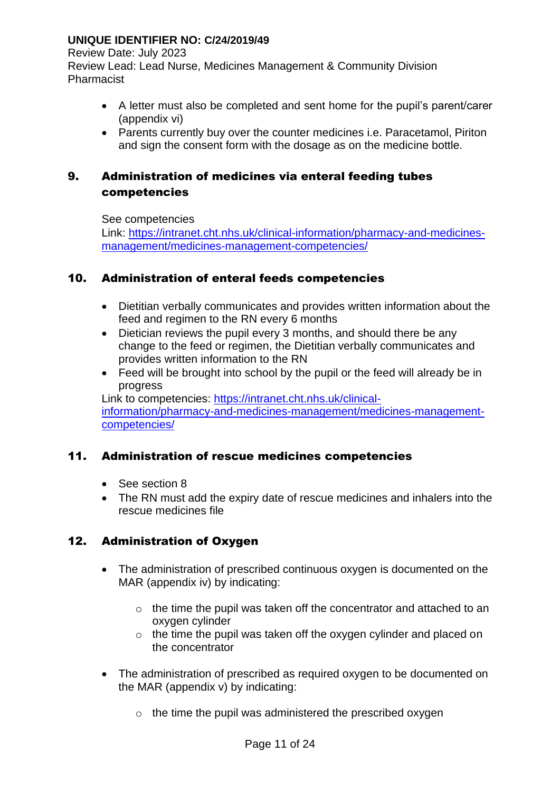Review Date: July 2023 Review Lead: Lead Nurse, Medicines Management & Community Division Pharmacist

- A letter must also be completed and sent home for the pupil's parent/carer (appendix vi)
- Parents currently buy over the counter medicines i.e. Paracetamol, Piriton and sign the consent form with the dosage as on the medicine bottle.

# 9. Administration of medicines via enteral feeding tubes competencies

See competencies

Link: [https://intranet.cht.nhs.uk/clinical-information/pharmacy-and-medicines](https://intranet.cht.nhs.uk/clinical-information/pharmacy-and-medicines-management/medicines-management-competencies/)[management/medicines-management-competencies/](https://intranet.cht.nhs.uk/clinical-information/pharmacy-and-medicines-management/medicines-management-competencies/)

## 10. Administration of enteral feeds competencies

- Dietitian verbally communicates and provides written information about the feed and regimen to the RN every 6 months
- Dietician reviews the pupil every 3 months, and should there be any change to the feed or regimen, the Dietitian verbally communicates and provides written information to the RN
- Feed will be brought into school by the pupil or the feed will already be in progress

Link to competencies: [https://intranet.cht.nhs.uk/clinical](https://intranet.cht.nhs.uk/clinical-information/pharmacy-and-medicines-management/medicines-management-competencies/)[information/pharmacy-and-medicines-management/medicines-management](https://intranet.cht.nhs.uk/clinical-information/pharmacy-and-medicines-management/medicines-management-competencies/)[competencies/](https://intranet.cht.nhs.uk/clinical-information/pharmacy-and-medicines-management/medicines-management-competencies/)

## 11. Administration of rescue medicines competencies

- See section 8
- The RN must add the expiry date of rescue medicines and inhalers into the rescue medicines file

## 12. Administration of Oxygen

- The administration of prescribed continuous oxygen is documented on the MAR (appendix iv) by indicating:
	- o the time the pupil was taken off the concentrator and attached to an oxygen cylinder
	- $\circ$  the time the pupil was taken off the oxygen cylinder and placed on the concentrator
- The administration of prescribed as required oxygen to be documented on the MAR (appendix v) by indicating:
	- $\circ$  the time the pupil was administered the prescribed oxygen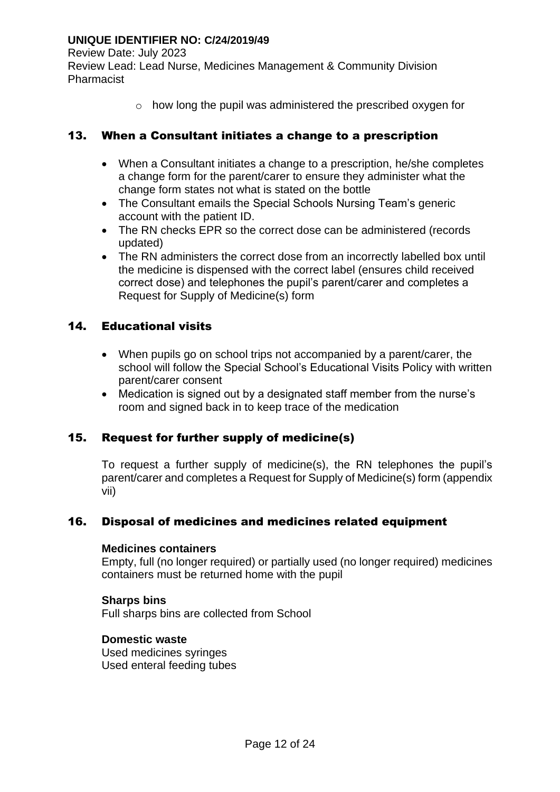Review Date: July 2023

Review Lead: Lead Nurse, Medicines Management & Community Division Pharmacist

 $\circ$  how long the pupil was administered the prescribed oxygen for

### 13. When a Consultant initiates a change to a prescription

- When a Consultant initiates a change to a prescription, he/she completes a change form for the parent/carer to ensure they administer what the change form states not what is stated on the bottle
- The Consultant emails the Special Schools Nursing Team's generic account with the patient ID.
- The RN checks EPR so the correct dose can be administered (records updated)
- The RN administers the correct dose from an incorrectly labelled box until the medicine is dispensed with the correct label (ensures child received correct dose) and telephones the pupil's parent/carer and completes a Request for Supply of Medicine(s) form

#### 14. Educational visits

- When pupils go on school trips not accompanied by a parent/carer, the school will follow the Special School's Educational Visits Policy with written parent/carer consent
- Medication is signed out by a designated staff member from the nurse's room and signed back in to keep trace of the medication

## 15. Request for further supply of medicine(s)

To request a further supply of medicine(s), the RN telephones the pupil's parent/carer and completes a Request for Supply of Medicine(s) form (appendix vii)

#### 16. Disposal of medicines and medicines related equipment

#### **Medicines containers**

Empty, full (no longer required) or partially used (no longer required) medicines containers must be returned home with the pupil

#### **Sharps bins**

Full sharps bins are collected from School

#### **Domestic waste**

Used medicines syringes Used enteral feeding tubes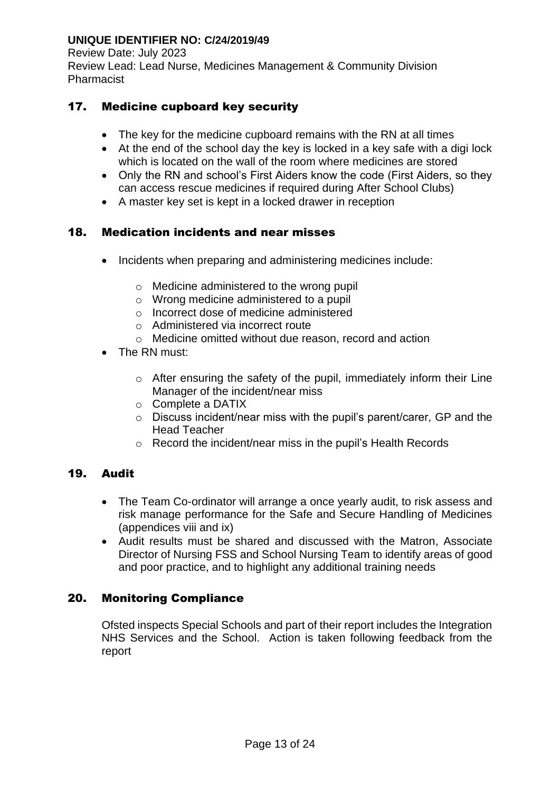Review Date: July 2023 Review Lead: Lead Nurse, Medicines Management & Community Division Pharmacist

## 17. Medicine cupboard key security

- The key for the medicine cupboard remains with the RN at all times
- At the end of the school day the key is locked in a key safe with a digi lock which is located on the wall of the room where medicines are stored
- Only the RN and school's First Aiders know the code (First Aiders, so they can access rescue medicines if required during After School Clubs)
- A master key set is kept in a locked drawer in reception

#### 18. Medication incidents and near misses

- Incidents when preparing and administering medicines include:
	- o Medicine administered to the wrong pupil
	- o Wrong medicine administered to a pupil
	- o Incorrect dose of medicine administered
	- o Administered via incorrect route
	- o Medicine omitted without due reason, record and action
- The RN must:
	- o After ensuring the safety of the pupil, immediately inform their Line Manager of the incident/near miss
	- o Complete a DATIX
	- o Discuss incident/near miss with the pupil's parent/carer, GP and the Head Teacher
	- o Record the incident/near miss in the pupil's Health Records

#### 19. Audit

- The Team Co-ordinator will arrange a once yearly audit, to risk assess and risk manage performance for the Safe and Secure Handling of Medicines (appendices viii and ix)
- Audit results must be shared and discussed with the Matron, Associate Director of Nursing FSS and School Nursing Team to identify areas of good and poor practice, and to highlight any additional training needs

#### 20. Monitoring Compliance

Ofsted inspects Special Schools and part of their report includes the Integration NHS Services and the School. Action is taken following feedback from the report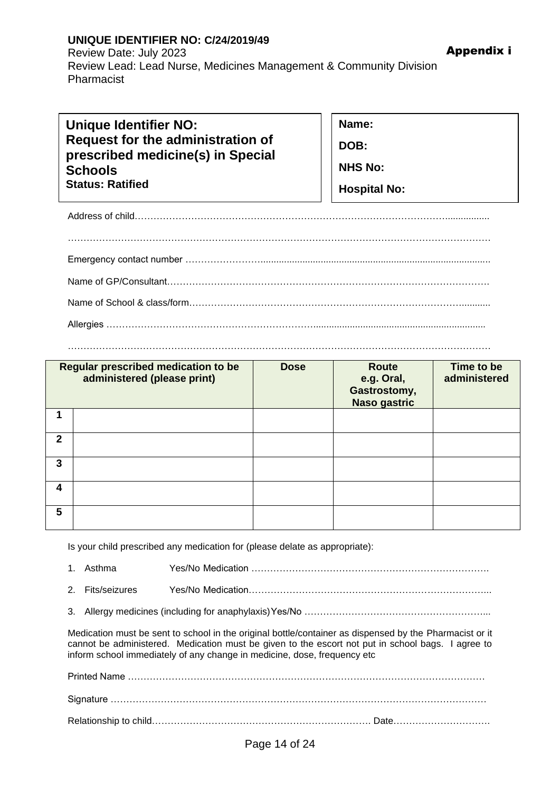#### **UNIQUE IDENTIFIER NO: C/24/2019/49** Review Date: July 2023 Review Lead: Lead Nurse, Medicines Management & Community Division Pharmacist

| <b>Unique Identifier NO:</b>                                           | Name:               |
|------------------------------------------------------------------------|---------------------|
| Request for the administration of<br>prescribed medicine(s) in Special | DOB:                |
| <b>Schools</b>                                                         | <b>NHS No:</b>      |
| <b>Status: Ratified</b>                                                | <b>Hospital No:</b> |

………………………………………………………………………………………………………………………

Appendix i

|                | Regular prescribed medication to be<br>administered (please print) | <b>Dose</b> | Route<br>e.g. Oral,<br>Gastrostomy,<br><b>Naso gastric</b> | Time to be<br>administered |
|----------------|--------------------------------------------------------------------|-------------|------------------------------------------------------------|----------------------------|
|                |                                                                    |             |                                                            |                            |
| $\mathfrak{p}$ |                                                                    |             |                                                            |                            |
| 3              |                                                                    |             |                                                            |                            |
| 4              |                                                                    |             |                                                            |                            |
| 5              |                                                                    |             |                                                            |                            |

Is your child prescribed any medication for (please delate as appropriate):

1. Asthma Yes/No Medication …………………………………………………………………. 2. Fits/seizures Yes/No Medication…………………………………………………………………...

3. Allergy medicines (including for anaphylaxis)Yes/No …………………………………………………...

Medication must be sent to school in the original bottle/container as dispensed by the Pharmacist or it cannot be administered. Medication must be given to the escort not put in school bags. I agree to inform school immediately of any change in medicine, dose, frequency etc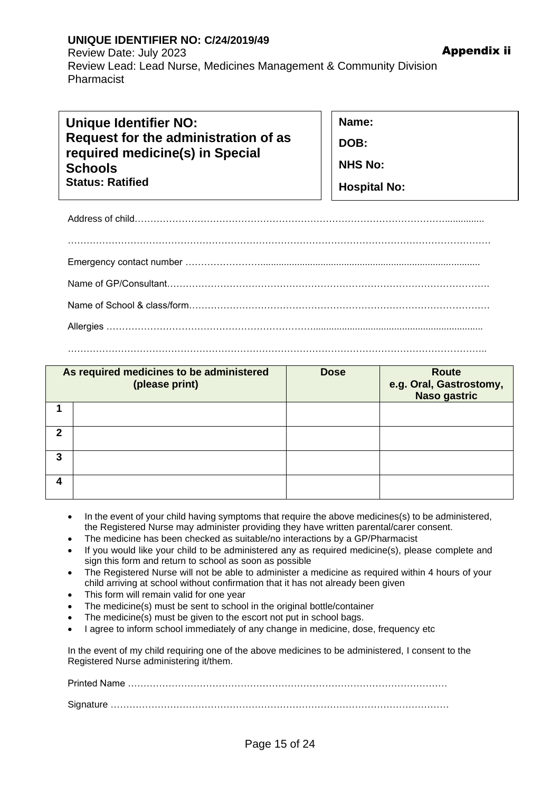#### **UNIQUE IDENTIFIER NO: C/24/2019/49** Review Date: July 2023 Review Lead: Lead Nurse, Medicines Management & Community Division Pharmacist

| Name:<br><b>Unique Identifier NO:</b><br>Request for the administration of as<br>DOB:<br>required medicine(s) in Special<br><b>NHS No:</b><br><b>Schools</b><br><b>Status: Ratified</b><br><b>Hospital No:</b> |
|----------------------------------------------------------------------------------------------------------------------------------------------------------------------------------------------------------------|
|----------------------------------------------------------------------------------------------------------------------------------------------------------------------------------------------------------------|

……………………………………………………………………………………………………………………..

| As required medicines to be administered<br>(please print) |  | <b>Dose</b> | Route<br>e.g. Oral, Gastrostomy,<br><b>Naso gastric</b> |  |
|------------------------------------------------------------|--|-------------|---------------------------------------------------------|--|
|                                                            |  |             |                                                         |  |
| 2                                                          |  |             |                                                         |  |
| 3                                                          |  |             |                                                         |  |
| 4                                                          |  |             |                                                         |  |

- In the event of your child having symptoms that require the above medicines(s) to be administered, the Registered Nurse may administer providing they have written parental/carer consent.
- The medicine has been checked as suitable/no interactions by a GP/Pharmacist
- If you would like your child to be administered any as required medicine(s), please complete and sign this form and return to school as soon as possible
- The Registered Nurse will not be able to administer a medicine as required within 4 hours of your child arriving at school without confirmation that it has not already been given
- This form will remain valid for one year
- The medicine(s) must be sent to school in the original bottle/container
- The medicine(s) must be given to the escort not put in school bags.
- I agree to inform school immediately of any change in medicine, dose, frequency etc

In the event of my child requiring one of the above medicines to be administered, I consent to the Registered Nurse administering it/them.

Printed Name …………………………………………………………………………………………

Appendix ii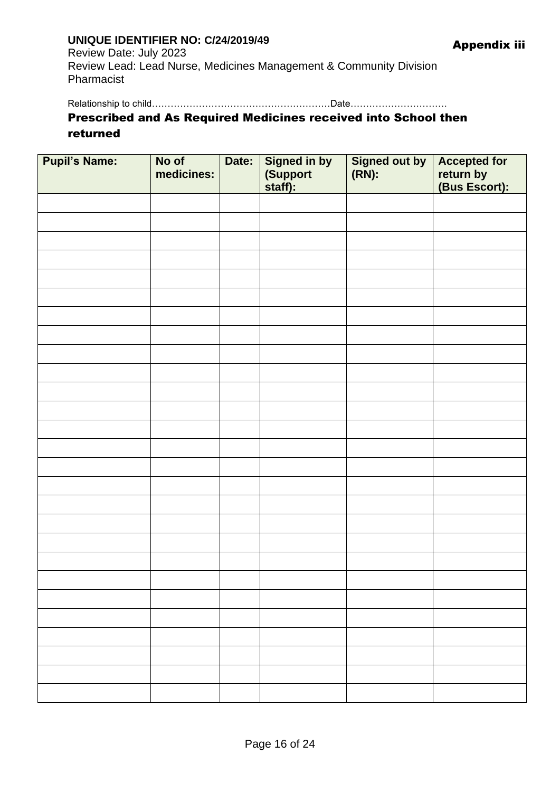Review Date: July 2023 Review Lead: Lead Nurse, Medicines Management & Community Division Pharmacist

Relationship to child…………………………………………………Date………………………….

## Prescribed and As Required Medicines received into School then returned

| <b>Pupil's Name:</b> | No of<br>medicines: | Date: | <b>Signed in by</b><br>(Support<br>staff): | Signed out by<br>(RN): | <b>Accepted for</b><br>return by<br>(Bus Escort): |
|----------------------|---------------------|-------|--------------------------------------------|------------------------|---------------------------------------------------|
|                      |                     |       |                                            |                        |                                                   |
|                      |                     |       |                                            |                        |                                                   |
|                      |                     |       |                                            |                        |                                                   |
|                      |                     |       |                                            |                        |                                                   |
|                      |                     |       |                                            |                        |                                                   |
|                      |                     |       |                                            |                        |                                                   |
|                      |                     |       |                                            |                        |                                                   |
|                      |                     |       |                                            |                        |                                                   |
|                      |                     |       |                                            |                        |                                                   |
|                      |                     |       |                                            |                        |                                                   |
|                      |                     |       |                                            |                        |                                                   |
|                      |                     |       |                                            |                        |                                                   |
|                      |                     |       |                                            |                        |                                                   |
|                      |                     |       |                                            |                        |                                                   |
|                      |                     |       |                                            |                        |                                                   |
|                      |                     |       |                                            |                        |                                                   |
|                      |                     |       |                                            |                        |                                                   |
|                      |                     |       |                                            |                        |                                                   |
|                      |                     |       |                                            |                        |                                                   |
|                      |                     |       |                                            |                        |                                                   |
|                      |                     |       |                                            |                        |                                                   |
|                      |                     |       |                                            |                        |                                                   |
|                      |                     |       |                                            |                        |                                                   |
|                      |                     |       |                                            |                        |                                                   |
|                      |                     |       |                                            |                        |                                                   |
|                      |                     |       |                                            |                        |                                                   |
|                      |                     |       |                                            |                        |                                                   |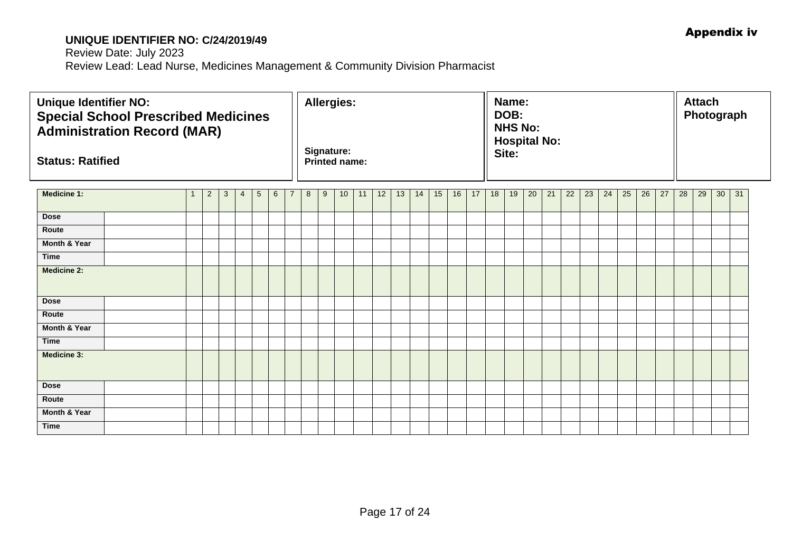| <b>Unique Identifier NO:</b><br><b>Status: Ratified</b> | <b>Special School Prescribed Medicines</b><br><b>Administration Record (MAR)</b> |                |   |   |                 |   |   | <b>Allergies:</b><br>Signature:<br><b>Printed name:</b> |   |    |    |    |    |    |    |    | Name:<br>DOB:<br><b>NHS No:</b><br><b>Hospital No:</b><br>Site: |    |    |    |    |    |    |    |    |    | <b>Attach</b><br>Photograph |    |    |    |    |
|---------------------------------------------------------|----------------------------------------------------------------------------------|----------------|---|---|-----------------|---|---|---------------------------------------------------------|---|----|----|----|----|----|----|----|-----------------------------------------------------------------|----|----|----|----|----|----|----|----|----|-----------------------------|----|----|----|----|
| <b>Medicine 1:</b>                                      |                                                                                  | $\overline{2}$ | 3 | 4 | $5\overline{)}$ | 6 | 7 | 8                                                       | 9 | 10 | 11 | 12 | 13 | 14 | 15 | 16 | 17                                                              | 18 | 19 | 20 | 21 | 22 | 23 | 24 | 25 | 26 | 27                          | 28 | 29 | 30 | 31 |
| <b>Dose</b>                                             |                                                                                  |                |   |   |                 |   |   |                                                         |   |    |    |    |    |    |    |    |                                                                 |    |    |    |    |    |    |    |    |    |                             |    |    |    |    |
| Route                                                   |                                                                                  |                |   |   |                 |   |   |                                                         |   |    |    |    |    |    |    |    |                                                                 |    |    |    |    |    |    |    |    |    |                             |    |    |    |    |
| Month & Year                                            |                                                                                  |                |   |   |                 |   |   |                                                         |   |    |    |    |    |    |    |    |                                                                 |    |    |    |    |    |    |    |    |    |                             |    |    |    |    |
| <b>Time</b>                                             |                                                                                  |                |   |   |                 |   |   |                                                         |   |    |    |    |    |    |    |    |                                                                 |    |    |    |    |    |    |    |    |    |                             |    |    |    |    |
| <b>Medicine 2:</b>                                      |                                                                                  |                |   |   |                 |   |   |                                                         |   |    |    |    |    |    |    |    |                                                                 |    |    |    |    |    |    |    |    |    |                             |    |    |    |    |
| <b>Dose</b>                                             |                                                                                  |                |   |   |                 |   |   |                                                         |   |    |    |    |    |    |    |    |                                                                 |    |    |    |    |    |    |    |    |    |                             |    |    |    |    |
| Route                                                   |                                                                                  |                |   |   |                 |   |   |                                                         |   |    |    |    |    |    |    |    |                                                                 |    |    |    |    |    |    |    |    |    |                             |    |    |    |    |
| Month & Year                                            |                                                                                  |                |   |   |                 |   |   |                                                         |   |    |    |    |    |    |    |    |                                                                 |    |    |    |    |    |    |    |    |    |                             |    |    |    |    |
| <b>Time</b>                                             |                                                                                  |                |   |   |                 |   |   |                                                         |   |    |    |    |    |    |    |    |                                                                 |    |    |    |    |    |    |    |    |    |                             |    |    |    |    |
| <b>Medicine 3:</b>                                      |                                                                                  |                |   |   |                 |   |   |                                                         |   |    |    |    |    |    |    |    |                                                                 |    |    |    |    |    |    |    |    |    |                             |    |    |    |    |
| <b>Dose</b>                                             |                                                                                  |                |   |   |                 |   |   |                                                         |   |    |    |    |    |    |    |    |                                                                 |    |    |    |    |    |    |    |    |    |                             |    |    |    |    |
| Route                                                   |                                                                                  |                |   |   |                 |   |   |                                                         |   |    |    |    |    |    |    |    |                                                                 |    |    |    |    |    |    |    |    |    |                             |    |    |    |    |
| Month & Year                                            |                                                                                  |                |   |   |                 |   |   |                                                         |   |    |    |    |    |    |    |    |                                                                 |    |    |    |    |    |    |    |    |    |                             |    |    |    |    |
| <b>Time</b>                                             |                                                                                  |                |   |   |                 |   |   |                                                         |   |    |    |    |    |    |    |    |                                                                 |    |    |    |    |    |    |    |    |    |                             |    |    |    |    |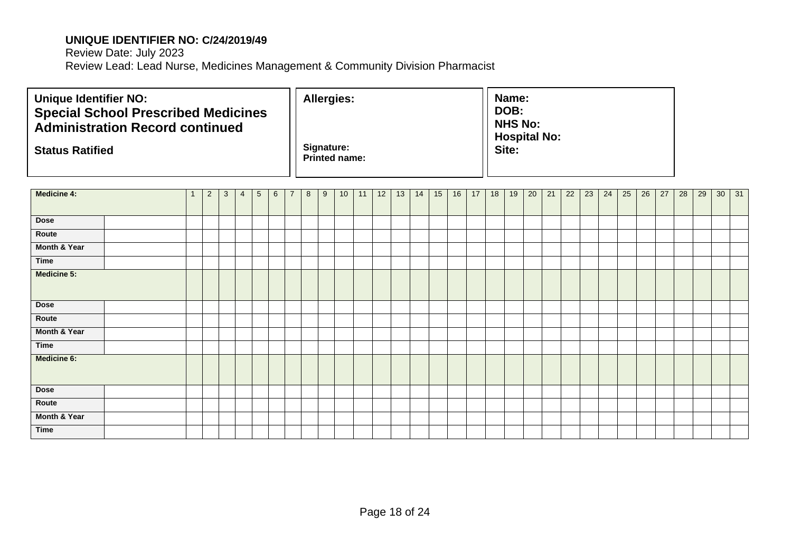Review Date: July 2023 Review Lead: Lead Nurse, Medicines Management & Community Division Pharmacist

| <b>Unique Identifier NO:</b><br><b>Special School Prescribed Medicines</b><br><b>Administration Record continued</b> |  |   |                |              |                |                 |   |   |   | <b>Allergies:</b>                  |    |    |    |    |    |    |    |    | Name:<br>DOB: | <b>NHS No:</b><br><b>Hospital No:</b> |    |    |    |    |    |    |    |    |    |    |              |  |
|----------------------------------------------------------------------------------------------------------------------|--|---|----------------|--------------|----------------|-----------------|---|---|---|------------------------------------|----|----|----|----|----|----|----|----|---------------|---------------------------------------|----|----|----|----|----|----|----|----|----|----|--------------|--|
| <b>Status Ratified</b>                                                                                               |  |   |                |              |                |                 |   |   |   | Signature:<br><b>Printed name:</b> |    |    |    |    |    |    |    |    | Site:         |                                       |    |    |    |    |    |    |    |    |    |    |              |  |
| <b>Medicine 4:</b>                                                                                                   |  | 1 | $\overline{2}$ | $\mathbf{3}$ | $\overline{4}$ | $5\phantom{.0}$ | 6 | 7 | 8 | 9                                  | 10 | 11 | 12 | 13 | 14 | 15 | 16 | 17 | 18            | 19                                    | 20 | 21 | 22 | 23 | 24 | 25 | 26 | 27 | 28 | 29 | $30 \mid 31$ |  |
| <b>Dose</b>                                                                                                          |  |   |                |              |                |                 |   |   |   |                                    |    |    |    |    |    |    |    |    |               |                                       |    |    |    |    |    |    |    |    |    |    |              |  |
| Route                                                                                                                |  |   |                |              |                |                 |   |   |   |                                    |    |    |    |    |    |    |    |    |               |                                       |    |    |    |    |    |    |    |    |    |    |              |  |
| Month & Year                                                                                                         |  |   |                |              |                |                 |   |   |   |                                    |    |    |    |    |    |    |    |    |               |                                       |    |    |    |    |    |    |    |    |    |    |              |  |
| <b>Time</b>                                                                                                          |  |   |                |              |                |                 |   |   |   |                                    |    |    |    |    |    |    |    |    |               |                                       |    |    |    |    |    |    |    |    |    |    |              |  |
| Medicine 5:                                                                                                          |  |   |                |              |                |                 |   |   |   |                                    |    |    |    |    |    |    |    |    |               |                                       |    |    |    |    |    |    |    |    |    |    |              |  |
| <b>Dose</b>                                                                                                          |  |   |                |              |                |                 |   |   |   |                                    |    |    |    |    |    |    |    |    |               |                                       |    |    |    |    |    |    |    |    |    |    |              |  |
| Route                                                                                                                |  |   |                |              |                |                 |   |   |   |                                    |    |    |    |    |    |    |    |    |               |                                       |    |    |    |    |    |    |    |    |    |    |              |  |
| Month & Year                                                                                                         |  |   |                |              |                |                 |   |   |   |                                    |    |    |    |    |    |    |    |    |               |                                       |    |    |    |    |    |    |    |    |    |    |              |  |
| <b>Time</b>                                                                                                          |  |   |                |              |                |                 |   |   |   |                                    |    |    |    |    |    |    |    |    |               |                                       |    |    |    |    |    |    |    |    |    |    |              |  |
| Medicine 6:                                                                                                          |  |   |                |              |                |                 |   |   |   |                                    |    |    |    |    |    |    |    |    |               |                                       |    |    |    |    |    |    |    |    |    |    |              |  |
| <b>Dose</b>                                                                                                          |  |   |                |              |                |                 |   |   |   |                                    |    |    |    |    |    |    |    |    |               |                                       |    |    |    |    |    |    |    |    |    |    |              |  |
| Route                                                                                                                |  |   |                |              |                |                 |   |   |   |                                    |    |    |    |    |    |    |    |    |               |                                       |    |    |    |    |    |    |    |    |    |    |              |  |
| <b>Month &amp; Year</b>                                                                                              |  |   |                |              |                |                 |   |   |   |                                    |    |    |    |    |    |    |    |    |               |                                       |    |    |    |    |    |    |    |    |    |    |              |  |
| <b>Time</b>                                                                                                          |  |   |                |              |                |                 |   |   |   |                                    |    |    |    |    |    |    |    |    |               |                                       |    |    |    |    |    |    |    |    |    |    |              |  |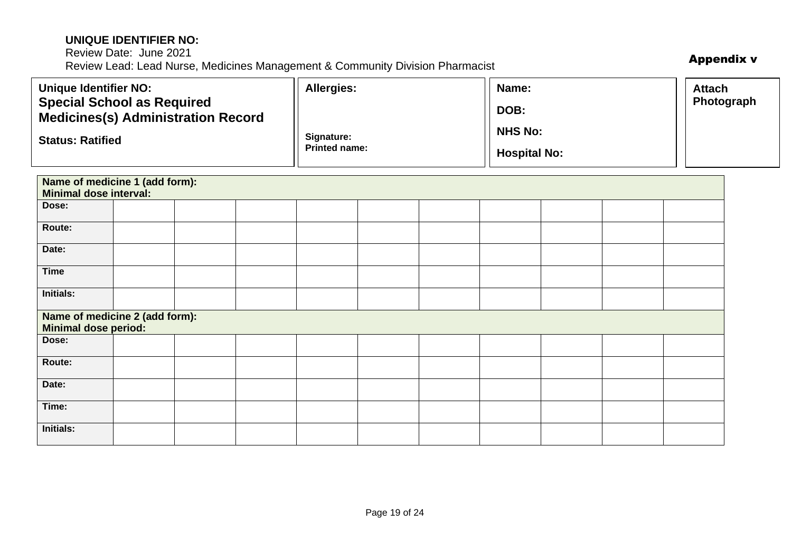# Review Date: June 2021

**UNIQUE IDENTIFIER NO:** 

#### Review Lead: Lead Nurse, Medicines Management & Community Division Pharmacist **Name of medicine 1 (add form): Minimal dose interval: Dose: Unique Identifier NO: Special School as Required Medicines(s) Administration Record Status: Ratified Name: DOB: NHS No: Hospital No: Allergies: Signature: Printed name:**

| Dose:                                                  |  |  |  |  |  |
|--------------------------------------------------------|--|--|--|--|--|
| Route:                                                 |  |  |  |  |  |
| Date:                                                  |  |  |  |  |  |
| <b>Time</b>                                            |  |  |  |  |  |
| Initials:                                              |  |  |  |  |  |
| Name of medicine 2 (add form):<br>Minimal dose period: |  |  |  |  |  |
| Dose:                                                  |  |  |  |  |  |
| Route:                                                 |  |  |  |  |  |
| Date:                                                  |  |  |  |  |  |
| Time:                                                  |  |  |  |  |  |
| Initials:                                              |  |  |  |  |  |

**Photograph**

**Attach**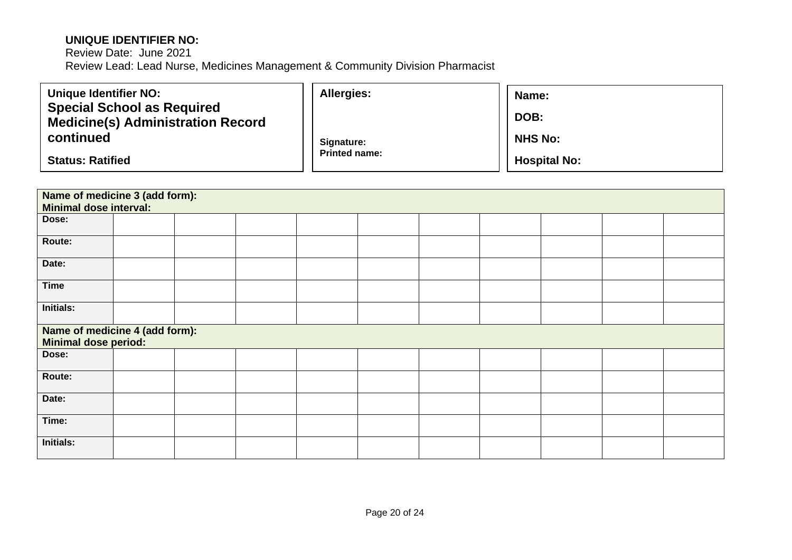Review Date: June 2021 Review Lead: Lead Nurse, Medicines Management & Community Division Pharmacist

| Unique Identifier NO:                                                         | <b>Allergies:</b>    | Name:               |
|-------------------------------------------------------------------------------|----------------------|---------------------|
| <b>Special School as Required</b><br><b>Medicine(s) Administration Record</b> |                      | DOB:                |
| continued                                                                     | Signature:           | <b>NHS No:</b>      |
| <b>Status: Ratified</b>                                                       | <b>Printed name:</b> | <b>Hospital No:</b> |

| Name of medicine 3 (add form):<br><b>Minimal dose interval:</b> |  |  |  |  |  |
|-----------------------------------------------------------------|--|--|--|--|--|
| Dose:                                                           |  |  |  |  |  |
| Route:                                                          |  |  |  |  |  |
| Date:                                                           |  |  |  |  |  |
| <b>Time</b>                                                     |  |  |  |  |  |
| Initials:                                                       |  |  |  |  |  |
| Name of medicine 4 (add form):<br>Minimal dose period:          |  |  |  |  |  |
| Dose:                                                           |  |  |  |  |  |
| Route:                                                          |  |  |  |  |  |
| Date:                                                           |  |  |  |  |  |
| Time:                                                           |  |  |  |  |  |
| Initials:                                                       |  |  |  |  |  |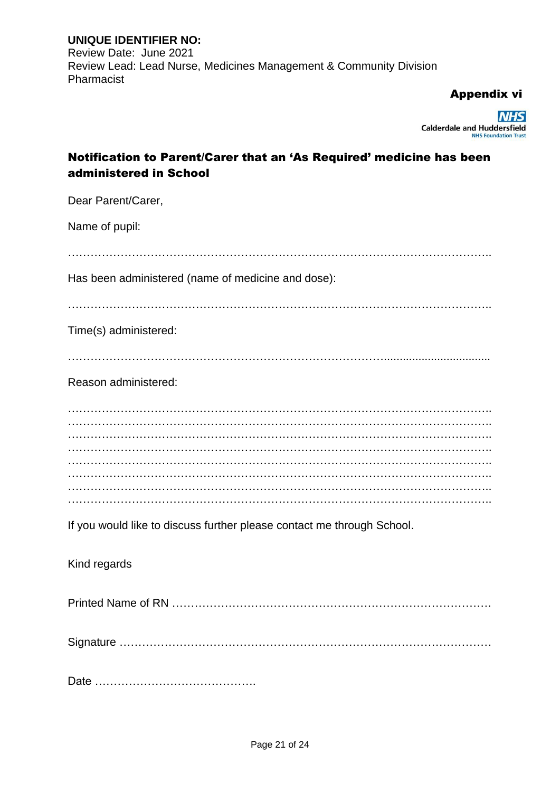Review Date: June 2021 Review Lead: Lead Nurse, Medicines Management & Community Division Pharmacist

Appendix vi

**NHS Calderdale and Huddersfield** 

# Notification to Parent/Carer that an 'As Required' medicine has been administered in School

| Dear Parent/Carer,                                                     |
|------------------------------------------------------------------------|
| Name of pupil:                                                         |
| Has been administered (name of medicine and dose):                     |
| Time(s) administered:                                                  |
| Reason administered:                                                   |
|                                                                        |
|                                                                        |
|                                                                        |
|                                                                        |
|                                                                        |
| If you would like to discuss further please contact me through School. |
| Kind regards                                                           |
|                                                                        |
|                                                                        |
|                                                                        |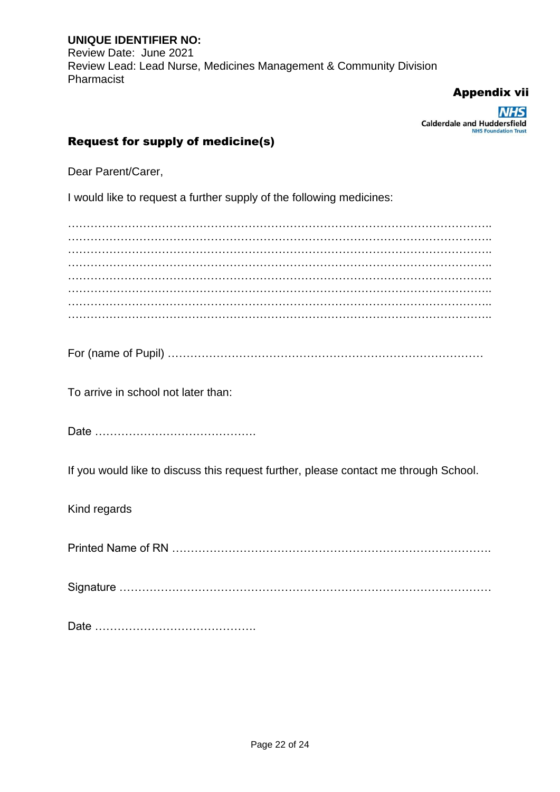Review Date: June 2021 Review Lead: Lead Nurse, Medicines Management & Community Division Pharmacist

Appendix vii

**NHS Calderdale and Huddersfield NHS Foundation Trust** 

### Request for supply of medicine(s)

Dear Parent/Carer,

I would like to request a further supply of the following medicines:

To arrive in school not later than:

Date …………………………………….

If you would like to discuss this request further, please contact me through School.

Kind regards

Printed Name of RN ………………………………………………………………………….

Signature ………………………………………………………………………………………

Date …………………………………….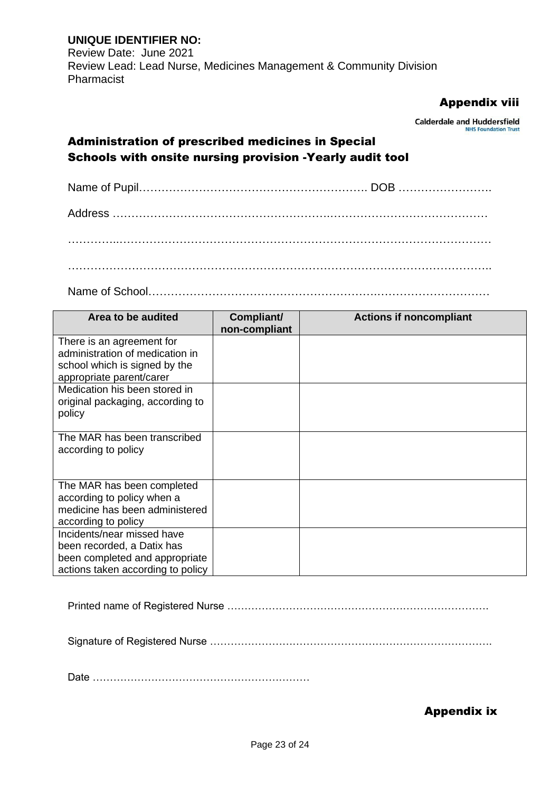Review Date: June 2021 Review Lead: Lead Nurse, Medicines Management & Community Division Pharmacist

Appendix viii

**Calderdale and Huddersfield NHS Foundation Trust** 

# Administration of prescribed medicines in Special Schools with onsite nursing provision -Yearly audit tool

Name of Pupil……………………………………………………. DOB …………………….

Address ………………………………………………….……………………………………

…………..………………………………………………………………………………………

…………………………………………………………………………………………………..

Name of School…………………………………………………….…………………………

| Area to be audited                                           | Compliant/<br>non-compliant | <b>Actions if noncompliant</b> |
|--------------------------------------------------------------|-----------------------------|--------------------------------|
| There is an agreement for<br>administration of medication in |                             |                                |
| school which is signed by the                                |                             |                                |
| appropriate parent/carer                                     |                             |                                |
| Medication his been stored in                                |                             |                                |
| original packaging, according to                             |                             |                                |
| policy                                                       |                             |                                |
| The MAR has been transcribed                                 |                             |                                |
| according to policy                                          |                             |                                |
|                                                              |                             |                                |
| The MAR has been completed                                   |                             |                                |
| according to policy when a                                   |                             |                                |
| medicine has been administered                               |                             |                                |
| according to policy<br>Incidents/near missed have            |                             |                                |
| been recorded, a Datix has                                   |                             |                                |
| been completed and appropriate                               |                             |                                |
| actions taken according to policy                            |                             |                                |

Printed name of Registered Nurse ………………………………………………………………….

Signature of Registered Nurse ……………………………………………………………………….

Date ………………………………………………………

Appendix ix